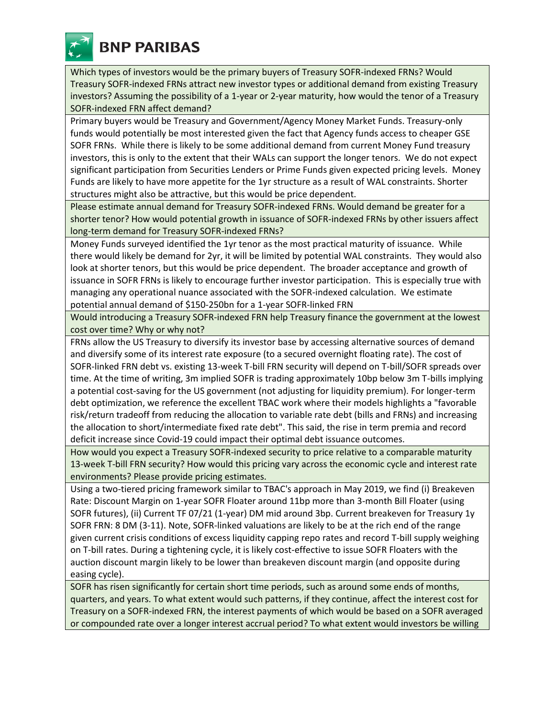

Which types of investors would be the primary buyers of Treasury SOFR-indexed FRNs? Would Treasury SOFR-indexed FRNs attract new investor types or additional demand from existing Treasury investors? Assuming the possibility of a 1-year or 2-year maturity, how would the tenor of a Treasury SOFR-indexed FRN affect demand?

Primary buyers would be Treasury and Government/Agency Money Market Funds. Treasury-only funds would potentially be most interested given the fact that Agency funds access to cheaper GSE SOFR FRNs. While there is likely to be some additional demand from current Money Fund treasury investors, this is only to the extent that their WALs can support the longer tenors. We do not expect significant participation from Securities Lenders or Prime Funds given expected pricing levels. Money Funds are likely to have more appetite for the 1yr structure as a result of WAL constraints. Shorter structures might also be attractive, but this would be price dependent.

Please estimate annual demand for Treasury SOFR-indexed FRNs. Would demand be greater for a shorter tenor? How would potential growth in issuance of SOFR-indexed FRNs by other issuers affect long-term demand for Treasury SOFR-indexed FRNs?

Money Funds surveyed identified the 1yr tenor as the most practical maturity of issuance. While there would likely be demand for 2yr, it will be limited by potential WAL constraints. They would also look at shorter tenors, but this would be price dependent. The broader acceptance and growth of issuance in SOFR FRNs is likely to encourage further investor participation. This is especially true with managing any operational nuance associated with the SOFR-indexed calculation. We estimate potential annual demand of \$150-250bn for a 1-year SOFR-linked FRN

Would introducing a Treasury SOFR-indexed FRN help Treasury finance the government at the lowest cost over time? Why or why not?

FRNs allow the US Treasury to diversify its investor base by accessing alternative sources of demand and diversify some of its interest rate exposure (to a secured overnight floating rate). The cost of SOFR-linked FRN debt vs. existing 13-week T-bill FRN security will depend on T-bill/SOFR spreads over time. At the time of writing, 3m implied SOFR is trading approximately 10bp below 3m T-bills implying a potential cost-saving for the US government (not adjusting for liquidity premium). For longer-term debt optimization, we reference the excellent TBAC work where their models highlights a "favorable risk/return tradeoff from reducing the allocation to variable rate debt (bills and FRNs) and increasing the allocation to short/intermediate fixed rate debt". This said, the rise in term premia and record deficit increase since Covid-19 could impact their optimal debt issuance outcomes.

How would you expect a Treasury SOFR-indexed security to price relative to a comparable maturity 13-week T-bill FRN security? How would this pricing vary across the economic cycle and interest rate environments? Please provide pricing estimates.

Using a two-tiered pricing framework similar to TBAC's approach in May 2019, we find (i) Breakeven Rate: Discount Margin on 1-year SOFR Floater around 11bp more than 3-month Bill Floater (using SOFR futures), (ii) Current TF 07/21 (1-year) DM mid around 3bp. Current breakeven for Treasury 1y SOFR FRN: 8 DM (3-11). Note, SOFR-linked valuations are likely to be at the rich end of the range given current crisis conditions of excess liquidity capping repo rates and record T-bill supply weighing on T-bill rates. During a tightening cycle, it is likely cost-effective to issue SOFR Floaters with the auction discount margin likely to be lower than breakeven discount margin (and opposite during easing cycle).

SOFR has risen significantly for certain short time periods, such as around some ends of months, quarters, and years. To what extent would such patterns, if they continue, affect the interest cost for Treasury on a SOFR-indexed FRN, the interest payments of which would be based on a SOFR averaged or compounded rate over a longer interest accrual period? To what extent would investors be willing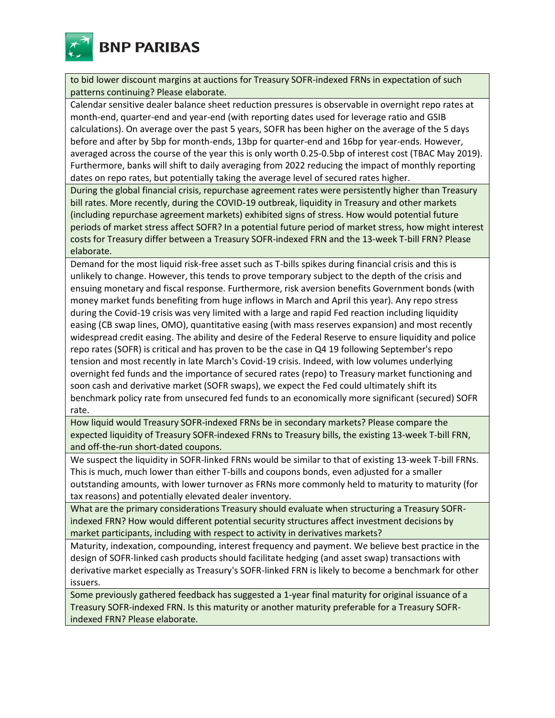

to bid lower discount margins at auctions for Treasury SOFR-indexed FRNs in expectation of such patterns continuing? Please elaborate.

Calendar sensitive dealer balance sheet reduction pressures is observable in overnight repo rates at month-end, quarter-end and year-end (with reporting dates used for leverage ratio and GSIB calculations). On average over the past 5 years, SOFR has been higher on the average of the 5 days before and after by 5bp for month-ends, 13bp for quarter-end and 16bp for year-ends. However, averaged across the course of the year this is only worth 0.25-0.5bp of interest cost (TBAC May 2019). Furthermore, banks will shift to daily averaging from 2022 reducing the impact of monthly reporting dates on repo rates, but potentially taking the average level of secured rates higher.

During the global financial crisis, repurchase agreement rates were persistently higher than Treasury bill rates. More recently, during the COVID-19 outbreak, liquidity in Treasury and other markets (including repurchase agreement markets) exhibited signs of stress. How would potential future periods of market stress affect SOFR? In a potential future period of market stress, how might interest costs for Treasury differ between a Treasury SOFR-indexed FRN and the 13-week T-bill FRN? Please elaborate.

Demand for the most liquid risk-free asset such as T-bills spikes during financial crisis and this is unlikely to change. However, this tends to prove temporary subject to the depth of the crisis and ensuing monetary and fiscal response. Furthermore, risk aversion benefits Government bonds (with money market funds benefiting from huge inflows in March and April this year). Any repo stress during the Covid-19 crisis was very limited with a large and rapid Fed reaction including liquidity easing (CB swap lines, OMO), quantitative easing (with mass reserves expansion) and most recently widespread credit easing. The ability and desire of the Federal Reserve to ensure liquidity and police repo rates (SOFR) is critical and has proven to be the case in Q4 19 following September's repo tension and most recently in late March's Covid-19 crisis. Indeed, with low volumes underlying overnight fed funds and the importance of secured rates (repo) to Treasury market functioning and soon cash and derivative market (SOFR swaps), we expect the Fed could ultimately shift its benchmark policy rate from unsecured fed funds to an economically more significant (secured) SOFR rate.

How liquid would Treasury SOFR-indexed FRNs be in secondary markets? Please compare the expected liquidity of Treasury SOFR-indexed FRNs to Treasury bills, the existing 13-week T-bill FRN, and off-the-run short-dated coupons.

We suspect the liquidity in SOFR-linked FRNs would be similar to that of existing 13-week T-bill FRNs. This is much, much lower than either T-bills and coupons bonds, even adjusted for a smaller outstanding amounts, with lower turnover as FRNs more commonly held to maturity to maturity (for tax reasons) and potentially elevated dealer inventory.

What are the primary considerations Treasury should evaluate when structuring a Treasury SOFRindexed FRN? How would different potential security structures affect investment decisions by market participants, including with respect to activity in derivatives markets?

Maturity, indexation, compounding, interest frequency and payment. We believe best practice in the design of SOFR-linked cash products should facilitate hedging (and asset swap) transactions with derivative market especially as Treasury's SOFR-linked FRN is likely to become a benchmark for other issuers.

Some previously gathered feedback has suggested a 1-year final maturity for original issuance of a Treasury SOFR-indexed FRN. Is this maturity or another maturity preferable for a Treasury SOFRindexed FRN? Please elaborate.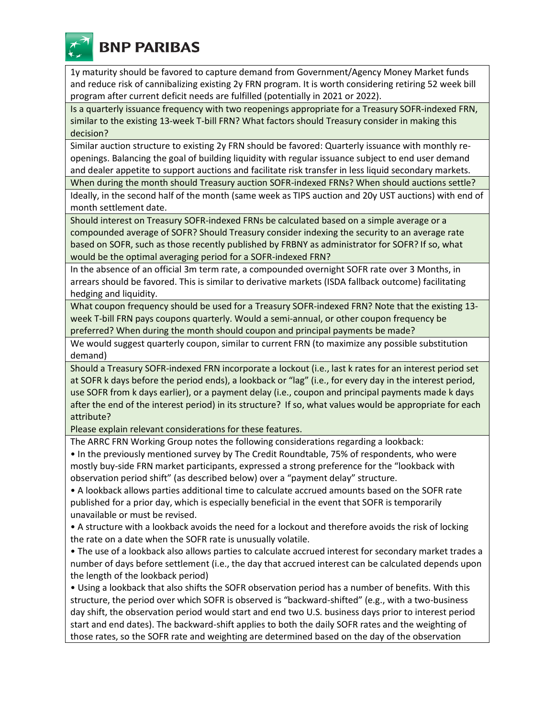

**BNP PARIBAS** 

1y maturity should be favored to capture demand from Government/Agency Money Market funds and reduce risk of cannibalizing existing 2y FRN program. It is worth considering retiring 52 week bill program after current deficit needs are fulfilled (potentially in 2021 or 2022).

Is a quarterly issuance frequency with two reopenings appropriate for a Treasury SOFR-indexed FRN, similar to the existing 13-week T-bill FRN? What factors should Treasury consider in making this decision?

Similar auction structure to existing 2y FRN should be favored: Quarterly issuance with monthly reopenings. Balancing the goal of building liquidity with regular issuance subject to end user demand and dealer appetite to support auctions and facilitate risk transfer in less liquid secondary markets.

When during the month should Treasury auction SOFR-indexed FRNs? When should auctions settle?

Ideally, in the second half of the month (same week as TIPS auction and 20y UST auctions) with end of month settlement date.

Should interest on Treasury SOFR-indexed FRNs be calculated based on a simple average or a compounded average of SOFR? Should Treasury consider indexing the security to an average rate based on SOFR, such as those recently published by FRBNY as administrator for SOFR? If so, what would be the optimal averaging period for a SOFR-indexed FRN?

In the absence of an official 3m term rate, a compounded overnight SOFR rate over 3 Months, in arrears should be favored. This is similar to derivative markets (ISDA fallback outcome) facilitating hedging and liquidity.

What coupon frequency should be used for a Treasury SOFR-indexed FRN? Note that the existing 13 week T-bill FRN pays coupons quarterly. Would a semi-annual, or other coupon frequency be preferred? When during the month should coupon and principal payments be made?

We would suggest quarterly coupon, similar to current FRN (to maximize any possible substitution demand)

Should a Treasury SOFR-indexed FRN incorporate a lockout (i.e., last k rates for an interest period set at SOFR k days before the period ends), a lookback or "lag" (i.e., for every day in the interest period, use SOFR from k days earlier), or a payment delay (i.e., coupon and principal payments made k days after the end of the interest period) in its structure?  If so, what values would be appropriate for each attribute?

Please explain relevant considerations for these features.

The ARRC FRN Working Group notes the following considerations regarding a lookback:

• In the previously mentioned survey by The Credit Roundtable, 75% of respondents, who were mostly buy-side FRN market participants, expressed a strong preference for the "lookback with observation period shift" (as described below) over a "payment delay" structure.

• A lookback allows parties additional time to calculate accrued amounts based on the SOFR rate published for a prior day, which is especially beneficial in the event that SOFR is temporarily unavailable or must be revised.

• A structure with a lookback avoids the need for a lockout and therefore avoids the risk of locking the rate on a date when the SOFR rate is unusually volatile.

• The use of a lookback also allows parties to calculate accrued interest for secondary market trades a number of days before settlement (i.e., the day that accrued interest can be calculated depends upon the length of the lookback period)

• Using a lookback that also shifts the SOFR observation period has a number of benefits. With this structure, the period over which SOFR is observed is "backward-shifted" (e.g., with a two-business day shift, the observation period would start and end two U.S. business days prior to interest period start and end dates). The backward-shift applies to both the daily SOFR rates and the weighting of those rates, so the SOFR rate and weighting are determined based on the day of the observation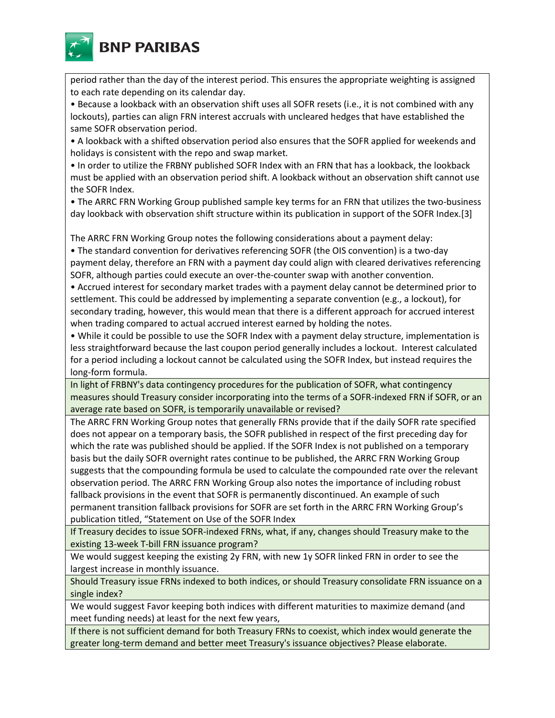

period rather than the day of the interest period. This ensures the appropriate weighting is assigned to each rate depending on its calendar day.

• Because a lookback with an observation shift uses all SOFR resets (i.e., it is not combined with any lockouts), parties can align FRN interest accruals with uncleared hedges that have established the same SOFR observation period.

• A lookback with a shifted observation period also ensures that the SOFR applied for weekends and holidays is consistent with the repo and swap market.

• In order to utilize the FRBNY published SOFR Index with an FRN that has a lookback, the lookback must be applied with an observation period shift. A lookback without an observation shift cannot use the SOFR Index.

• The ARRC FRN Working Group published sample key terms for an FRN that utilizes the two-business day lookback with observation shift structure within its publication in support of the SOFR Index.[3]

The ARRC FRN Working Group notes the following considerations about a payment delay:

• The standard convention for derivatives referencing SOFR (the OIS convention) is a two-day payment delay, therefore an FRN with a payment day could align with cleared derivatives referencing SOFR, although parties could execute an over-the-counter swap with another convention.

• Accrued interest for secondary market trades with a payment delay cannot be determined prior to settlement. This could be addressed by implementing a separate convention (e.g., a lockout), for secondary trading, however, this would mean that there is a different approach for accrued interest when trading compared to actual accrued interest earned by holding the notes.

• While it could be possible to use the SOFR Index with a payment delay structure, implementation is less straightforward because the last coupon period generally includes a lockout. Interest calculated for a period including a lockout cannot be calculated using the SOFR Index, but instead requires the long-form formula.

In light of FRBNY's data contingency procedures for the publication of SOFR, what contingency measures should Treasury consider incorporating into the terms of a SOFR-indexed FRN if SOFR, or an average rate based on SOFR, is temporarily unavailable or revised?

The ARRC FRN Working Group notes that generally FRNs provide that if the daily SOFR rate specified does not appear on a temporary basis, the SOFR published in respect of the first preceding day for which the rate was published should be applied. If the SOFR Index is not published on a temporary basis but the daily SOFR overnight rates continue to be published, the ARRC FRN Working Group suggests that the compounding formula be used to calculate the compounded rate over the relevant observation period. The ARRC FRN Working Group also notes the importance of including robust fallback provisions in the event that SOFR is permanently discontinued. An example of such permanent transition fallback provisions for SOFR are set forth in the ARRC FRN Working Group's publication titled, "Statement on Use of the SOFR Index

If Treasury decides to issue SOFR-indexed FRNs, what, if any, changes should Treasury make to the existing 13-week T-bill FRN issuance program?

We would suggest keeping the existing 2y FRN, with new 1y SOFR linked FRN in order to see the largest increase in monthly issuance.

Should Treasury issue FRNs indexed to both indices, or should Treasury consolidate FRN issuance on a single index?

We would suggest Favor keeping both indices with different maturities to maximize demand (and meet funding needs) at least for the next few years,

If there is not sufficient demand for both Treasury FRNs to coexist, which index would generate the greater long-term demand and better meet Treasury's issuance objectives? Please elaborate.